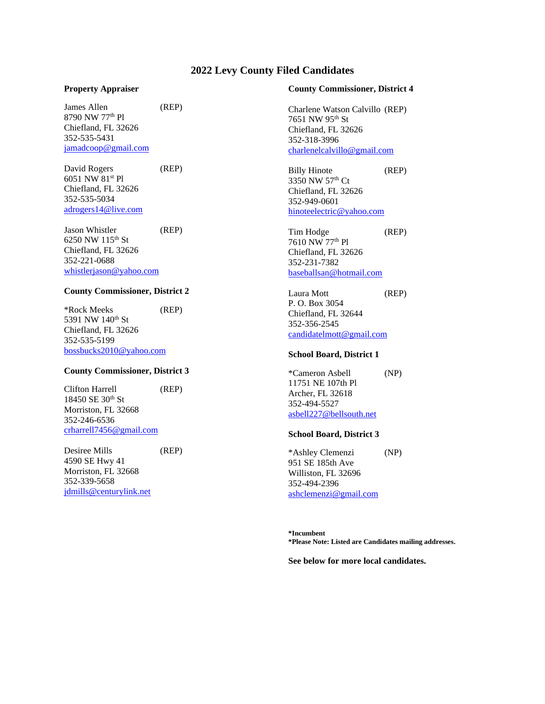# **2022 Levy County Filed Candidates**

#### **Property Appraiser**

James Allen (REP) 8790 NW 77th Pl Chiefland, FL 32626 352-535-5431 [jamadcoop@gmail.com](mailto:jamadcoop@gmail.com)

David Rogers (REP) 6051 NW 81st Pl Chiefland, FL 32626 352-535-5034 [adrogers14@live.com](mailto:adrogers14@live.com)

Jason Whistler (REP) 6250 NW 115th St Chiefland, FL 32626 352-221-0688 [whistlerjason@yahoo.com](mailto:whistlerjason@yahoo.com)

### **County Commissioner, District 2**

\*Rock Meeks (REP) 5391 NW 140<sup>th</sup> St Chiefland, FL 32626 352-535-5199 [bossbucks2010@yahoo.com](mailto:bossbucks2010@yahoo.com)

## **County Commissioner, District 3**

Clifton Harrell (REP) 18450 SE 30th St Morriston, FL 32668 352-246-6536 [crharrell7456@gmail.com](mailto:crharrell7456@gmail.com)

Desiree Mills (REP) 4590 SE Hwy 41 Morriston, FL 32668 352-339-5658 [jdmills@centurylink.net](mailto:jdmills@centurylink.net)

#### **County Commissioner, District 4**

Charlene Watson Calvillo (REP) 7651 NW 95th St Chiefland, FL 32626 352-318-3996 [charlenelcalvillo@gmail.com](mailto:charlenelcalvillo@gmail.com)

Billy Hinote (REP) 3350 NW 57th Ct Chiefland, FL 32626 352-949-0601 [hinoteelectric@yahoo.com](mailto:hinoteelectric@yahoo.com)

Tim Hodge (REP) 7610 NW 77th Pl Chiefland, FL 32626 352-231-7382 [baseballsan@hotmail.com](mailto:baseballsan@hotmail.com)

Laura Mott (REP) P. O. Box 3054 Chiefland, FL 32644 352-356-2545 [candidatelmott@gmail.com](mailto:candidatelmott@gmail.com)

#### **School Board, District 1**

\*Cameron Asbell (NP) 11751 NE 107th Pl Archer, FL 32618 352-494-5527 [asbell227@bellsouth.net](mailto:asbell227@bellsouth.net)

#### **School Board, District 3**

\*Ashley Clemenzi (NP) 951 SE 185th Ave Williston, FL 32696 352-494-2396 [ashclemenzi@gmail.com](mailto:ashclemenzi@gmail.com)

**\*Incumbent \*Please Note: Listed are Candidates mailing addresses.**

**See below for more local candidates.**